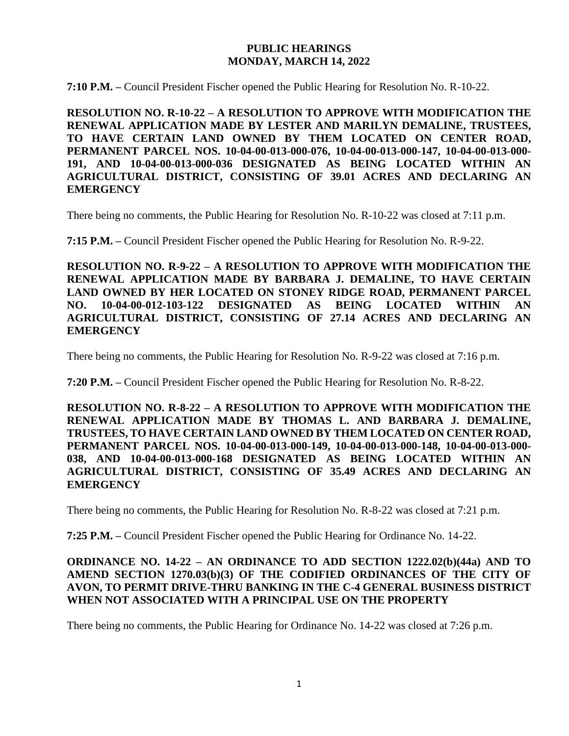### **PUBLIC HEARINGS MONDAY, MARCH 14, 2022**

**7:10 P.M. –** Council President Fischer opened the Public Hearing for Resolution No. R-10-22.

**RESOLUTION NO. R-10-22 – A RESOLUTION TO APPROVE WITH MODIFICATION THE RENEWAL APPLICATION MADE BY LESTER AND MARILYN DEMALINE, TRUSTEES, TO HAVE CERTAIN LAND OWNED BY THEM LOCATED ON CENTER ROAD, PERMANENT PARCEL NOS. 10-04-00-013-000-076, 10-04-00-013-000-147, 10-04-00-013-000- 191, AND 10-04-00-013-000-036 DESIGNATED AS BEING LOCATED WITHIN AN AGRICULTURAL DISTRICT, CONSISTING OF 39.01 ACRES AND DECLARING AN EMERGENCY**

There being no comments, the Public Hearing for Resolution No. R-10-22 was closed at 7:11 p.m.

**7:15 P.M. –** Council President Fischer opened the Public Hearing for Resolution No. R-9-22.

**RESOLUTION NO. R-9-22 – A RESOLUTION TO APPROVE WITH MODIFICATION THE RENEWAL APPLICATION MADE BY BARBARA J. DEMALINE, TO HAVE CERTAIN LAND OWNED BY HER LOCATED ON STONEY RIDGE ROAD, PERMANENT PARCEL NO. 10-04-00-012-103-122 DESIGNATED AS BEING LOCATED WITHIN AN AGRICULTURAL DISTRICT, CONSISTING OF 27.14 ACRES AND DECLARING AN EMERGENCY**

There being no comments, the Public Hearing for Resolution No. R-9-22 was closed at 7:16 p.m.

**7:20 P.M. –** Council President Fischer opened the Public Hearing for Resolution No. R-8-22.

**RESOLUTION NO. R-8-22 – A RESOLUTION TO APPROVE WITH MODIFICATION THE RENEWAL APPLICATION MADE BY THOMAS L. AND BARBARA J. DEMALINE, TRUSTEES, TO HAVE CERTAIN LAND OWNED BY THEM LOCATED ON CENTER ROAD, PERMANENT PARCEL NOS. 10-04-00-013-000-149, 10-04-00-013-000-148, 10-04-00-013-000- 038, AND 10-04-00-013-000-168 DESIGNATED AS BEING LOCATED WITHIN AN AGRICULTURAL DISTRICT, CONSISTING OF 35.49 ACRES AND DECLARING AN EMERGENCY**

There being no comments, the Public Hearing for Resolution No. R-8-22 was closed at 7:21 p.m.

**7:25 P.M. –** Council President Fischer opened the Public Hearing for Ordinance No. 14-22.

# **ORDINANCE NO. 14-22 – AN ORDINANCE TO ADD SECTION 1222.02(b)(44a) AND TO AMEND SECTION 1270.03(b)(3) OF THE CODIFIED ORDINANCES OF THE CITY OF AVON, TO PERMIT DRIVE-THRU BANKING IN THE C-4 GENERAL BUSINESS DISTRICT WHEN NOT ASSOCIATED WITH A PRINCIPAL USE ON THE PROPERTY**

There being no comments, the Public Hearing for Ordinance No. 14-22 was closed at 7:26 p.m.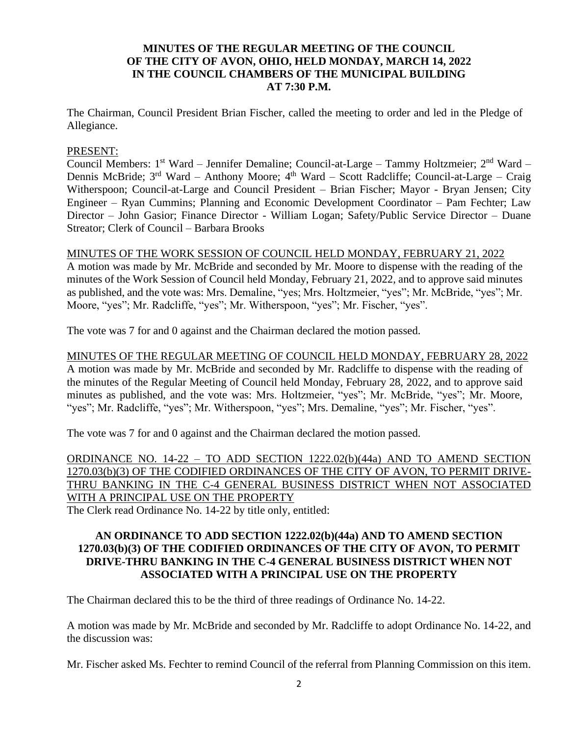# **MINUTES OF THE REGULAR MEETING OF THE COUNCIL OF THE CITY OF AVON, OHIO, HELD MONDAY, MARCH 14, 2022 IN THE COUNCIL CHAMBERS OF THE MUNICIPAL BUILDING AT 7:30 P.M.**

The Chairman, Council President Brian Fischer, called the meeting to order and led in the Pledge of Allegiance.

#### PRESENT:

Council Members: 1<sup>st</sup> Ward – Jennifer Demaline; Council-at-Large – Tammy Holtzmeier; 2<sup>nd</sup> Ward – Dennis McBride; 3<sup>rd</sup> Ward – Anthony Moore; 4<sup>th</sup> Ward – Scott Radcliffe; Council-at-Large – Craig Witherspoon; Council-at-Large and Council President – Brian Fischer; Mayor - Bryan Jensen; City Engineer – Ryan Cummins; Planning and Economic Development Coordinator – Pam Fechter; Law Director – John Gasior; Finance Director - William Logan; Safety/Public Service Director – Duane Streator; Clerk of Council – Barbara Brooks

#### MINUTES OF THE WORK SESSION OF COUNCIL HELD MONDAY, FEBRUARY 21, 2022

A motion was made by Mr. McBride and seconded by Mr. Moore to dispense with the reading of the minutes of the Work Session of Council held Monday, February 21, 2022, and to approve said minutes as published, and the vote was: Mrs. Demaline, "yes; Mrs. Holtzmeier, "yes"; Mr. McBride, "yes"; Mr. Moore, "yes"; Mr. Radcliffe, "yes"; Mr. Witherspoon, "yes"; Mr. Fischer, "yes".

The vote was 7 for and 0 against and the Chairman declared the motion passed.

MINUTES OF THE REGULAR MEETING OF COUNCIL HELD MONDAY, FEBRUARY 28, 2022 A motion was made by Mr. McBride and seconded by Mr. Radcliffe to dispense with the reading of the minutes of the Regular Meeting of Council held Monday, February 28, 2022, and to approve said minutes as published, and the vote was: Mrs. Holtzmeier, "yes"; Mr. McBride, "yes"; Mr. Moore, "yes"; Mr. Radcliffe, "yes"; Mr. Witherspoon, "yes"; Mrs. Demaline, "yes"; Mr. Fischer, "yes".

The vote was 7 for and 0 against and the Chairman declared the motion passed.

ORDINANCE NO. 14-22 – TO ADD SECTION 1222.02(b)(44a) AND TO AMEND SECTION 1270.03(b)(3) OF THE CODIFIED ORDINANCES OF THE CITY OF AVON, TO PERMIT DRIVE-THRU BANKING IN THE C-4 GENERAL BUSINESS DISTRICT WHEN NOT ASSOCIATED WITH A PRINCIPAL USE ON THE PROPERTY

The Clerk read Ordinance No. 14-22 by title only, entitled:

## **AN ORDINANCE TO ADD SECTION 1222.02(b)(44a) AND TO AMEND SECTION 1270.03(b)(3) OF THE CODIFIED ORDINANCES OF THE CITY OF AVON, TO PERMIT DRIVE-THRU BANKING IN THE C-4 GENERAL BUSINESS DISTRICT WHEN NOT ASSOCIATED WITH A PRINCIPAL USE ON THE PROPERTY**

The Chairman declared this to be the third of three readings of Ordinance No. 14-22.

A motion was made by Mr. McBride and seconded by Mr. Radcliffe to adopt Ordinance No. 14-22, and the discussion was:

Mr. Fischer asked Ms. Fechter to remind Council of the referral from Planning Commission on this item.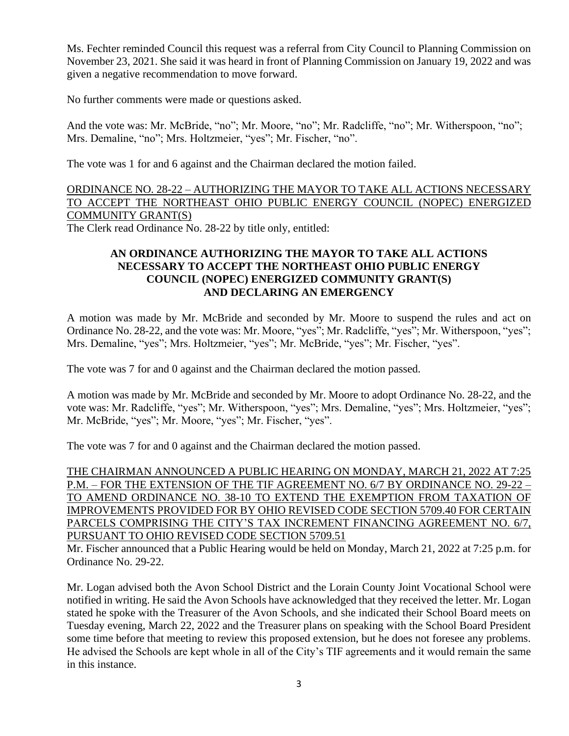Ms. Fechter reminded Council this request was a referral from City Council to Planning Commission on November 23, 2021. She said it was heard in front of Planning Commission on January 19, 2022 and was given a negative recommendation to move forward.

No further comments were made or questions asked.

And the vote was: Mr. McBride, "no"; Mr. Moore, "no"; Mr. Radcliffe, "no"; Mr. Witherspoon, "no"; Mrs. Demaline, "no"; Mrs. Holtzmeier, "yes"; Mr. Fischer, "no".

The vote was 1 for and 6 against and the Chairman declared the motion failed.

# ORDINANCE NO. 28-22 – AUTHORIZING THE MAYOR TO TAKE ALL ACTIONS NECESSARY TO ACCEPT THE NORTHEAST OHIO PUBLIC ENERGY COUNCIL (NOPEC) ENERGIZED COMMUNITY GRANT(S)

The Clerk read Ordinance No. 28-22 by title only, entitled:

# **AN ORDINANCE AUTHORIZING THE MAYOR TO TAKE ALL ACTIONS NECESSARY TO ACCEPT THE NORTHEAST OHIO PUBLIC ENERGY COUNCIL (NOPEC) ENERGIZED COMMUNITY GRANT(S) AND DECLARING AN EMERGENCY**

A motion was made by Mr. McBride and seconded by Mr. Moore to suspend the rules and act on Ordinance No. 28-22, and the vote was: Mr. Moore, "yes"; Mr. Radcliffe, "yes"; Mr. Witherspoon, "yes"; Mrs. Demaline, "yes"; Mrs. Holtzmeier, "yes"; Mr. McBride, "yes"; Mr. Fischer, "yes".

The vote was 7 for and 0 against and the Chairman declared the motion passed.

A motion was made by Mr. McBride and seconded by Mr. Moore to adopt Ordinance No. 28-22, and the vote was: Mr. Radcliffe, "yes"; Mr. Witherspoon, "yes"; Mrs. Demaline, "yes"; Mrs. Holtzmeier, "yes"; Mr. McBride, "yes"; Mr. Moore, "yes"; Mr. Fischer, "yes".

The vote was 7 for and 0 against and the Chairman declared the motion passed.

THE CHAIRMAN ANNOUNCED A PUBLIC HEARING ON MONDAY, MARCH 21, 2022 AT 7:25 P.M. – FOR THE EXTENSION OF THE TIF AGREEMENT NO. 6/7 BY ORDINANCE NO. 29-22 – TO AMEND ORDINANCE NO. 38-10 TO EXTEND THE EXEMPTION FROM TAXATION OF IMPROVEMENTS PROVIDED FOR BY OHIO REVISED CODE SECTION 5709.40 FOR CERTAIN PARCELS COMPRISING THE CITY'S TAX INCREMENT FINANCING AGREEMENT NO. 6/7, PURSUANT TO OHIO REVISED CODE SECTION 5709.51

Mr. Fischer announced that a Public Hearing would be held on Monday, March 21, 2022 at 7:25 p.m. for Ordinance No. 29-22.

Mr. Logan advised both the Avon School District and the Lorain County Joint Vocational School were notified in writing. He said the Avon Schools have acknowledged that they received the letter. Mr. Logan stated he spoke with the Treasurer of the Avon Schools, and she indicated their School Board meets on Tuesday evening, March 22, 2022 and the Treasurer plans on speaking with the School Board President some time before that meeting to review this proposed extension, but he does not foresee any problems. He advised the Schools are kept whole in all of the City's TIF agreements and it would remain the same in this instance.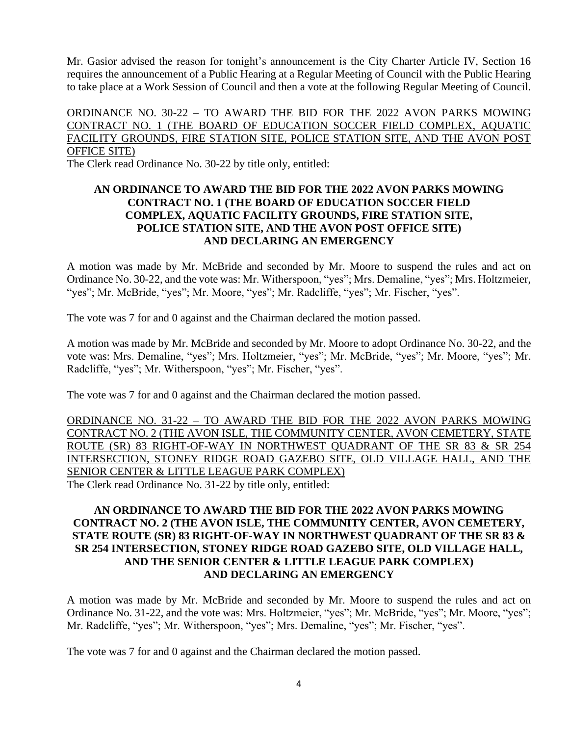Mr. Gasior advised the reason for tonight's announcement is the City Charter Article IV, Section 16 requires the announcement of a Public Hearing at a Regular Meeting of Council with the Public Hearing to take place at a Work Session of Council and then a vote at the following Regular Meeting of Council.

# ORDINANCE NO. 30-22 – TO AWARD THE BID FOR THE 2022 AVON PARKS MOWING CONTRACT NO. 1 (THE BOARD OF EDUCATION SOCCER FIELD COMPLEX, AQUATIC FACILITY GROUNDS, FIRE STATION SITE, POLICE STATION SITE, AND THE AVON POST OFFICE SITE)

The Clerk read Ordinance No. 30-22 by title only, entitled:

# **AN ORDINANCE TO AWARD THE BID FOR THE 2022 AVON PARKS MOWING CONTRACT NO. 1 (THE BOARD OF EDUCATION SOCCER FIELD COMPLEX, AQUATIC FACILITY GROUNDS, FIRE STATION SITE, POLICE STATION SITE, AND THE AVON POST OFFICE SITE) AND DECLARING AN EMERGENCY**

A motion was made by Mr. McBride and seconded by Mr. Moore to suspend the rules and act on Ordinance No. 30-22, and the vote was: Mr. Witherspoon, "yes"; Mrs. Demaline, "yes"; Mrs. Holtzmeier, "yes"; Mr. McBride, "yes"; Mr. Moore, "yes"; Mr. Radcliffe, "yes"; Mr. Fischer, "yes".

The vote was 7 for and 0 against and the Chairman declared the motion passed.

A motion was made by Mr. McBride and seconded by Mr. Moore to adopt Ordinance No. 30-22, and the vote was: Mrs. Demaline, "yes"; Mrs. Holtzmeier, "yes"; Mr. McBride, "yes"; Mr. Moore, "yes"; Mr. Radcliffe, "yes"; Mr. Witherspoon, "yes"; Mr. Fischer, "yes".

The vote was 7 for and 0 against and the Chairman declared the motion passed.

ORDINANCE NO. 31-22 – TO AWARD THE BID FOR THE 2022 AVON PARKS MOWING CONTRACT NO. 2 (THE AVON ISLE, THE COMMUNITY CENTER, AVON CEMETERY, STATE ROUTE (SR) 83 RIGHT-OF-WAY IN NORTHWEST QUADRANT OF THE SR 83 & SR 254 INTERSECTION, STONEY RIDGE ROAD GAZEBO SITE, OLD VILLAGE HALL, AND THE SENIOR CENTER & LITTLE LEAGUE PARK COMPLEX) The Clerk read Ordinance No. 31-22 by title only, entitled:

# **AN ORDINANCE TO AWARD THE BID FOR THE 2022 AVON PARKS MOWING CONTRACT NO. 2 (THE AVON ISLE, THE COMMUNITY CENTER, AVON CEMETERY, STATE ROUTE (SR) 83 RIGHT-OF-WAY IN NORTHWEST QUADRANT OF THE SR 83 & SR 254 INTERSECTION, STONEY RIDGE ROAD GAZEBO SITE, OLD VILLAGE HALL, AND THE SENIOR CENTER & LITTLE LEAGUE PARK COMPLEX) AND DECLARING AN EMERGENCY**

A motion was made by Mr. McBride and seconded by Mr. Moore to suspend the rules and act on Ordinance No. 31-22, and the vote was: Mrs. Holtzmeier, "yes"; Mr. McBride, "yes"; Mr. Moore, "yes"; Mr. Radcliffe, "yes"; Mr. Witherspoon, "yes"; Mrs. Demaline, "yes"; Mr. Fischer, "yes".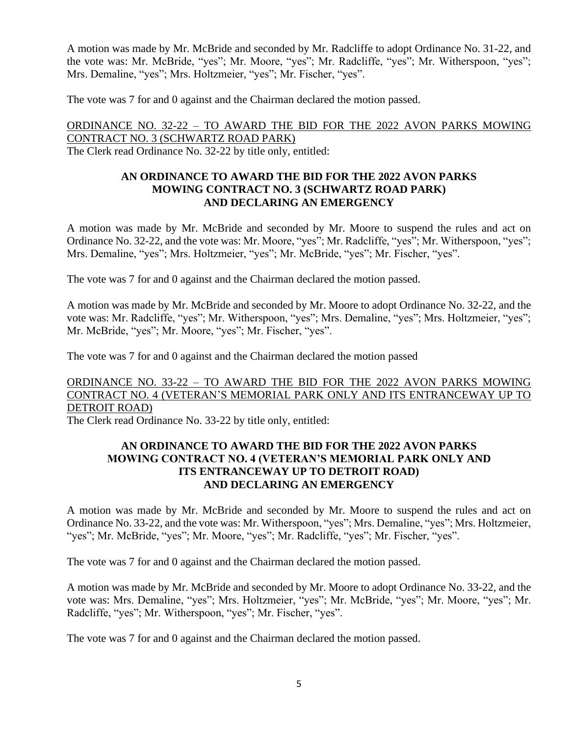A motion was made by Mr. McBride and seconded by Mr. Radcliffe to adopt Ordinance No. 31-22, and the vote was: Mr. McBride, "yes"; Mr. Moore, "yes"; Mr. Radcliffe, "yes"; Mr. Witherspoon, "yes"; Mrs. Demaline, "yes"; Mrs. Holtzmeier, "yes"; Mr. Fischer, "yes".

The vote was 7 for and 0 against and the Chairman declared the motion passed.

ORDINANCE NO. 32-22 – TO AWARD THE BID FOR THE 2022 AVON PARKS MOWING CONTRACT NO. 3 (SCHWARTZ ROAD PARK) The Clerk read Ordinance No. 32-22 by title only, entitled:

## **AN ORDINANCE TO AWARD THE BID FOR THE 2022 AVON PARKS MOWING CONTRACT NO. 3 (SCHWARTZ ROAD PARK) AND DECLARING AN EMERGENCY**

A motion was made by Mr. McBride and seconded by Mr. Moore to suspend the rules and act on Ordinance No. 32-22, and the vote was: Mr. Moore, "yes"; Mr. Radcliffe, "yes"; Mr. Witherspoon, "yes"; Mrs. Demaline, "yes"; Mrs. Holtzmeier, "yes"; Mr. McBride, "yes"; Mr. Fischer, "yes".

The vote was 7 for and 0 against and the Chairman declared the motion passed.

A motion was made by Mr. McBride and seconded by Mr. Moore to adopt Ordinance No. 32-22, and the vote was: Mr. Radcliffe, "yes"; Mr. Witherspoon, "yes"; Mrs. Demaline, "yes"; Mrs. Holtzmeier, "yes"; Mr. McBride, "yes"; Mr. Moore, "yes"; Mr. Fischer, "yes".

The vote was 7 for and 0 against and the Chairman declared the motion passed

# ORDINANCE NO. 33-22 – TO AWARD THE BID FOR THE 2022 AVON PARKS MOWING CONTRACT NO. 4 (VETERAN'S MEMORIAL PARK ONLY AND ITS ENTRANCEWAY UP TO DETROIT ROAD)

The Clerk read Ordinance No. 33-22 by title only, entitled:

# **AN ORDINANCE TO AWARD THE BID FOR THE 2022 AVON PARKS MOWING CONTRACT NO. 4 (VETERAN'S MEMORIAL PARK ONLY AND ITS ENTRANCEWAY UP TO DETROIT ROAD) AND DECLARING AN EMERGENCY**

A motion was made by Mr. McBride and seconded by Mr. Moore to suspend the rules and act on Ordinance No. 33-22, and the vote was: Mr. Witherspoon, "yes"; Mrs. Demaline, "yes"; Mrs. Holtzmeier, "yes"; Mr. McBride, "yes"; Mr. Moore, "yes"; Mr. Radcliffe, "yes"; Mr. Fischer, "yes".

The vote was 7 for and 0 against and the Chairman declared the motion passed.

A motion was made by Mr. McBride and seconded by Mr. Moore to adopt Ordinance No. 33-22, and the vote was: Mrs. Demaline, "yes"; Mrs. Holtzmeier, "yes"; Mr. McBride, "yes"; Mr. Moore, "yes"; Mr. Radcliffe, "yes"; Mr. Witherspoon, "yes"; Mr. Fischer, "yes".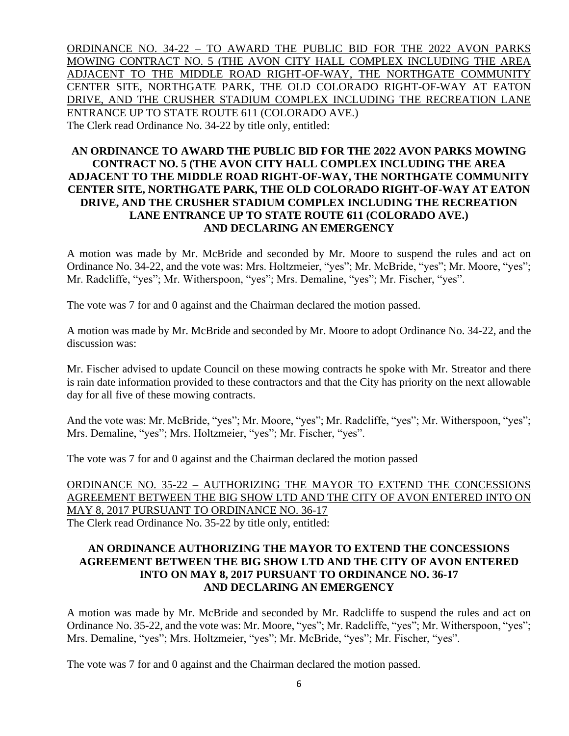ORDINANCE NO. 34-22 – TO AWARD THE PUBLIC BID FOR THE 2022 AVON PARKS MOWING CONTRACT NO. 5 (THE AVON CITY HALL COMPLEX INCLUDING THE AREA ADJACENT TO THE MIDDLE ROAD RIGHT-OF-WAY, THE NORTHGATE COMMUNITY CENTER SITE, NORTHGATE PARK, THE OLD COLORADO RIGHT-OF-WAY AT EATON DRIVE, AND THE CRUSHER STADIUM COMPLEX INCLUDING THE RECREATION LANE ENTRANCE UP TO STATE ROUTE 611 (COLORADO AVE.) The Clerk read Ordinance No. 34-22 by title only, entitled:

# **AN ORDINANCE TO AWARD THE PUBLIC BID FOR THE 2022 AVON PARKS MOWING CONTRACT NO. 5 (THE AVON CITY HALL COMPLEX INCLUDING THE AREA ADJACENT TO THE MIDDLE ROAD RIGHT-OF-WAY, THE NORTHGATE COMMUNITY CENTER SITE, NORTHGATE PARK, THE OLD COLORADO RIGHT-OF-WAY AT EATON DRIVE, AND THE CRUSHER STADIUM COMPLEX INCLUDING THE RECREATION LANE ENTRANCE UP TO STATE ROUTE 611 (COLORADO AVE.) AND DECLARING AN EMERGENCY**

A motion was made by Mr. McBride and seconded by Mr. Moore to suspend the rules and act on Ordinance No. 34-22, and the vote was: Mrs. Holtzmeier, "yes"; Mr. McBride, "yes"; Mr. Moore, "yes"; Mr. Radcliffe, "yes"; Mr. Witherspoon, "yes"; Mrs. Demaline, "yes"; Mr. Fischer, "yes".

The vote was 7 for and 0 against and the Chairman declared the motion passed.

A motion was made by Mr. McBride and seconded by Mr. Moore to adopt Ordinance No. 34-22, and the discussion was:

Mr. Fischer advised to update Council on these mowing contracts he spoke with Mr. Streator and there is rain date information provided to these contractors and that the City has priority on the next allowable day for all five of these mowing contracts.

And the vote was: Mr. McBride, "yes"; Mr. Moore, "yes"; Mr. Radcliffe, "yes"; Mr. Witherspoon, "yes"; Mrs. Demaline, "yes"; Mrs. Holtzmeier, "yes"; Mr. Fischer, "yes".

The vote was 7 for and 0 against and the Chairman declared the motion passed

ORDINANCE NO. 35-22 – AUTHORIZING THE MAYOR TO EXTEND THE CONCESSIONS AGREEMENT BETWEEN THE BIG SHOW LTD AND THE CITY OF AVON ENTERED INTO ON MAY 8, 2017 PURSUANT TO ORDINANCE NO. 36-17 The Clerk read Ordinance No. 35-22 by title only, entitled:

# **AN ORDINANCE AUTHORIZING THE MAYOR TO EXTEND THE CONCESSIONS AGREEMENT BETWEEN THE BIG SHOW LTD AND THE CITY OF AVON ENTERED INTO ON MAY 8, 2017 PURSUANT TO ORDINANCE NO. 36-17 AND DECLARING AN EMERGENCY**

A motion was made by Mr. McBride and seconded by Mr. Radcliffe to suspend the rules and act on Ordinance No. 35-22, and the vote was: Mr. Moore, "yes"; Mr. Radcliffe, "yes"; Mr. Witherspoon, "yes"; Mrs. Demaline, "yes"; Mrs. Holtzmeier, "yes"; Mr. McBride, "yes"; Mr. Fischer, "yes".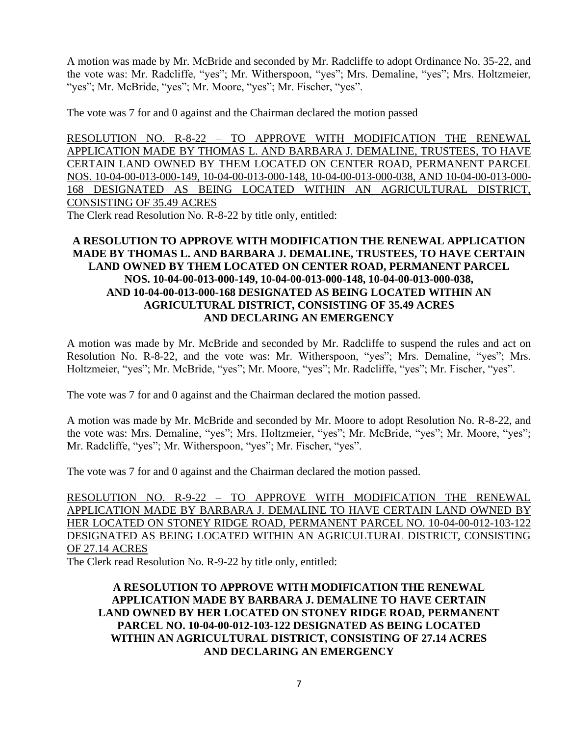A motion was made by Mr. McBride and seconded by Mr. Radcliffe to adopt Ordinance No. 35-22, and the vote was: Mr. Radcliffe, "yes"; Mr. Witherspoon, "yes"; Mrs. Demaline, "yes"; Mrs. Holtzmeier, "yes"; Mr. McBride, "yes"; Mr. Moore, "yes"; Mr. Fischer, "yes".

The vote was 7 for and 0 against and the Chairman declared the motion passed

RESOLUTION NO. R-8-22 – TO APPROVE WITH MODIFICATION THE RENEWAL APPLICATION MADE BY THOMAS L. AND BARBARA J. DEMALINE, TRUSTEES, TO HAVE CERTAIN LAND OWNED BY THEM LOCATED ON CENTER ROAD, PERMANENT PARCEL NOS. 10-04-00-013-000-149, 10-04-00-013-000-148, 10-04-00-013-000-038, AND 10-04-00-013-000- 168 DESIGNATED AS BEING LOCATED WITHIN AN AGRICULTURAL DISTRICT, CONSISTING OF 35.49 ACRES

The Clerk read Resolution No. R-8-22 by title only, entitled:

# **A RESOLUTION TO APPROVE WITH MODIFICATION THE RENEWAL APPLICATION MADE BY THOMAS L. AND BARBARA J. DEMALINE, TRUSTEES, TO HAVE CERTAIN LAND OWNED BY THEM LOCATED ON CENTER ROAD, PERMANENT PARCEL NOS. 10-04-00-013-000-149, 10-04-00-013-000-148, 10-04-00-013-000-038, AND 10-04-00-013-000-168 DESIGNATED AS BEING LOCATED WITHIN AN AGRICULTURAL DISTRICT, CONSISTING OF 35.49 ACRES AND DECLARING AN EMERGENCY**

A motion was made by Mr. McBride and seconded by Mr. Radcliffe to suspend the rules and act on Resolution No. R-8-22, and the vote was: Mr. Witherspoon, "yes"; Mrs. Demaline, "yes"; Mrs. Holtzmeier, "yes"; Mr. McBride, "yes"; Mr. Moore, "yes"; Mr. Radcliffe, "yes"; Mr. Fischer, "yes".

The vote was 7 for and 0 against and the Chairman declared the motion passed.

A motion was made by Mr. McBride and seconded by Mr. Moore to adopt Resolution No. R-8-22, and the vote was: Mrs. Demaline, "yes"; Mrs. Holtzmeier, "yes"; Mr. McBride, "yes"; Mr. Moore, "yes"; Mr. Radcliffe, "yes"; Mr. Witherspoon, "yes"; Mr. Fischer, "yes".

The vote was 7 for and 0 against and the Chairman declared the motion passed.

RESOLUTION NO. R-9-22 – TO APPROVE WITH MODIFICATION THE RENEWAL APPLICATION MADE BY BARBARA J. DEMALINE TO HAVE CERTAIN LAND OWNED BY HER LOCATED ON STONEY RIDGE ROAD, PERMANENT PARCEL NO. 10-04-00-012-103-122 DESIGNATED AS BEING LOCATED WITHIN AN AGRICULTURAL DISTRICT, CONSISTING OF 27.14 ACRES

The Clerk read Resolution No. R-9-22 by title only, entitled:

# **A RESOLUTION TO APPROVE WITH MODIFICATION THE RENEWAL APPLICATION MADE BY BARBARA J. DEMALINE TO HAVE CERTAIN LAND OWNED BY HER LOCATED ON STONEY RIDGE ROAD, PERMANENT PARCEL NO. 10-04-00-012-103-122 DESIGNATED AS BEING LOCATED WITHIN AN AGRICULTURAL DISTRICT, CONSISTING OF 27.14 ACRES AND DECLARING AN EMERGENCY**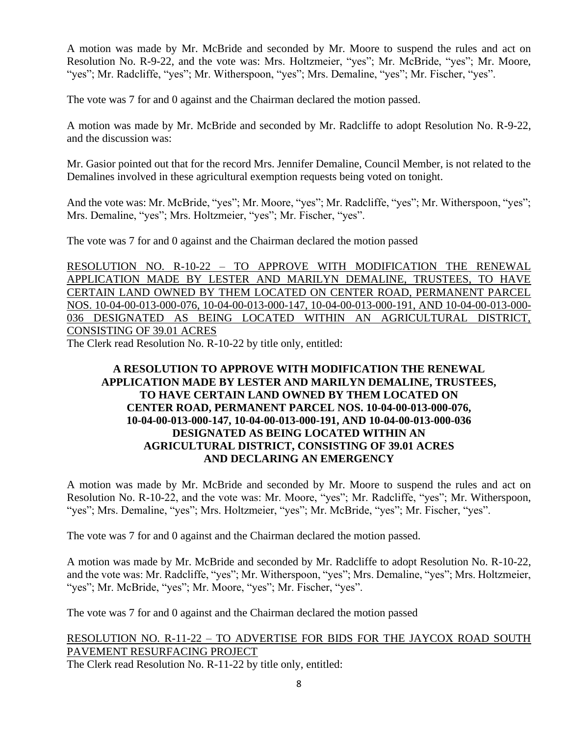A motion was made by Mr. McBride and seconded by Mr. Moore to suspend the rules and act on Resolution No. R-9-22, and the vote was: Mrs. Holtzmeier, "yes"; Mr. McBride, "yes"; Mr. Moore, "yes"; Mr. Radcliffe, "yes"; Mr. Witherspoon, "yes"; Mrs. Demaline, "yes"; Mr. Fischer, "yes".

The vote was 7 for and 0 against and the Chairman declared the motion passed.

A motion was made by Mr. McBride and seconded by Mr. Radcliffe to adopt Resolution No. R-9-22, and the discussion was:

Mr. Gasior pointed out that for the record Mrs. Jennifer Demaline, Council Member, is not related to the Demalines involved in these agricultural exemption requests being voted on tonight.

And the vote was: Mr. McBride, "yes"; Mr. Moore, "yes"; Mr. Radcliffe, "yes"; Mr. Witherspoon, "yes"; Mrs. Demaline, "yes"; Mrs. Holtzmeier, "yes"; Mr. Fischer, "yes".

The vote was 7 for and 0 against and the Chairman declared the motion passed

RESOLUTION NO. R-10-22 – TO APPROVE WITH MODIFICATION THE RENEWAL APPLICATION MADE BY LESTER AND MARILYN DEMALINE, TRUSTEES, TO HAVE CERTAIN LAND OWNED BY THEM LOCATED ON CENTER ROAD, PERMANENT PARCEL NOS. 10-04-00-013-000-076, 10-04-00-013-000-147, 10-04-00-013-000-191, AND 10-04-00-013-000- 036 DESIGNATED AS BEING LOCATED WITHIN AN AGRICULTURAL DISTRICT, CONSISTING OF 39.01 ACRES

The Clerk read Resolution No. R-10-22 by title only, entitled:

# **A RESOLUTION TO APPROVE WITH MODIFICATION THE RENEWAL APPLICATION MADE BY LESTER AND MARILYN DEMALINE, TRUSTEES, TO HAVE CERTAIN LAND OWNED BY THEM LOCATED ON CENTER ROAD, PERMANENT PARCEL NOS. 10-04-00-013-000-076, 10-04-00-013-000-147, 10-04-00-013-000-191, AND 10-04-00-013-000-036 DESIGNATED AS BEING LOCATED WITHIN AN AGRICULTURAL DISTRICT, CONSISTING OF 39.01 ACRES AND DECLARING AN EMERGENCY**

A motion was made by Mr. McBride and seconded by Mr. Moore to suspend the rules and act on Resolution No. R-10-22, and the vote was: Mr. Moore, "yes"; Mr. Radcliffe, "yes"; Mr. Witherspoon, "yes"; Mrs. Demaline, "yes"; Mrs. Holtzmeier, "yes"; Mr. McBride, "yes"; Mr. Fischer, "yes".

The vote was 7 for and 0 against and the Chairman declared the motion passed.

A motion was made by Mr. McBride and seconded by Mr. Radcliffe to adopt Resolution No. R-10-22, and the vote was: Mr. Radcliffe, "yes"; Mr. Witherspoon, "yes"; Mrs. Demaline, "yes"; Mrs. Holtzmeier, "yes"; Mr. McBride, "yes"; Mr. Moore, "yes"; Mr. Fischer, "yes".

The vote was 7 for and 0 against and the Chairman declared the motion passed

# RESOLUTION NO. R-11-22 – TO ADVERTISE FOR BIDS FOR THE JAYCOX ROAD SOUTH PAVEMENT RESURFACING PROJECT

The Clerk read Resolution No. R-11-22 by title only, entitled: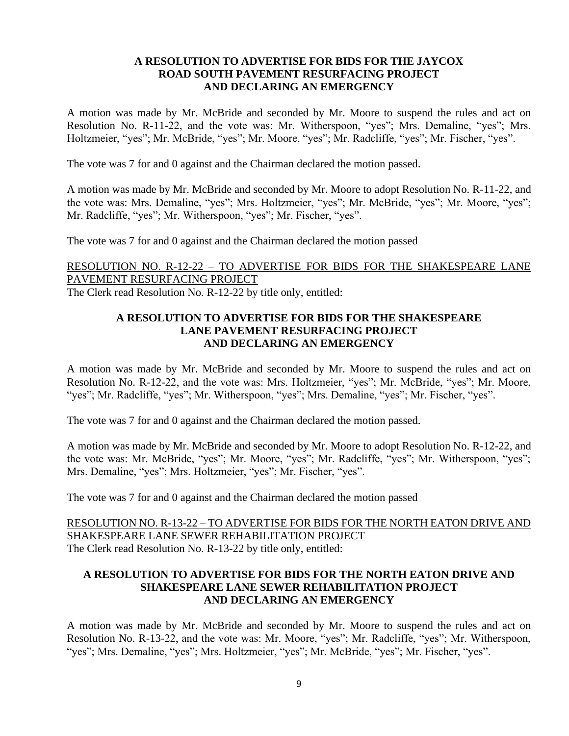## **A RESOLUTION TO ADVERTISE FOR BIDS FOR THE JAYCOX ROAD SOUTH PAVEMENT RESURFACING PROJECT AND DECLARING AN EMERGENCY**

A motion was made by Mr. McBride and seconded by Mr. Moore to suspend the rules and act on Resolution No. R-11-22, and the vote was: Mr. Witherspoon, "yes"; Mrs. Demaline, "yes"; Mrs. Holtzmeier, "yes"; Mr. McBride, "yes"; Mr. Moore, "yes"; Mr. Radcliffe, "yes"; Mr. Fischer, "yes".

The vote was 7 for and 0 against and the Chairman declared the motion passed.

A motion was made by Mr. McBride and seconded by Mr. Moore to adopt Resolution No. R-11-22, and the vote was: Mrs. Demaline, "yes"; Mrs. Holtzmeier, "yes"; Mr. McBride, "yes"; Mr. Moore, "yes"; Mr. Radcliffe, "yes"; Mr. Witherspoon, "yes"; Mr. Fischer, "yes".

The vote was 7 for and 0 against and the Chairman declared the motion passed

RESOLUTION NO. R-12-22 – TO ADVERTISE FOR BIDS FOR THE SHAKESPEARE LANE PAVEMENT RESURFACING PROJECT The Clerk read Resolution No. R-12-22 by title only, entitled:

### **A RESOLUTION TO ADVERTISE FOR BIDS FOR THE SHAKESPEARE LANE PAVEMENT RESURFACING PROJECT AND DECLARING AN EMERGENCY**

A motion was made by Mr. McBride and seconded by Mr. Moore to suspend the rules and act on Resolution No. R-12-22, and the vote was: Mrs. Holtzmeier, "yes"; Mr. McBride, "yes"; Mr. Moore, "yes"; Mr. Radcliffe, "yes"; Mr. Witherspoon, "yes"; Mrs. Demaline, "yes"; Mr. Fischer, "yes".

The vote was 7 for and 0 against and the Chairman declared the motion passed.

A motion was made by Mr. McBride and seconded by Mr. Moore to adopt Resolution No. R-12-22, and the vote was: Mr. McBride, "yes"; Mr. Moore, "yes"; Mr. Radcliffe, "yes"; Mr. Witherspoon, "yes"; Mrs. Demaline, "yes"; Mrs. Holtzmeier, "yes"; Mr. Fischer, "yes".

The vote was 7 for and 0 against and the Chairman declared the motion passed

RESOLUTION NO. R-13-22 – TO ADVERTISE FOR BIDS FOR THE NORTH EATON DRIVE AND SHAKESPEARE LANE SEWER REHABILITATION PROJECT The Clerk read Resolution No. R-13-22 by title only, entitled:

# **A RESOLUTION TO ADVERTISE FOR BIDS FOR THE NORTH EATON DRIVE AND SHAKESPEARE LANE SEWER REHABILITATION PROJECT AND DECLARING AN EMERGENCY**

A motion was made by Mr. McBride and seconded by Mr. Moore to suspend the rules and act on Resolution No. R-13-22, and the vote was: Mr. Moore, "yes"; Mr. Radcliffe, "yes"; Mr. Witherspoon, "yes"; Mrs. Demaline, "yes"; Mrs. Holtzmeier, "yes"; Mr. McBride, "yes"; Mr. Fischer, "yes".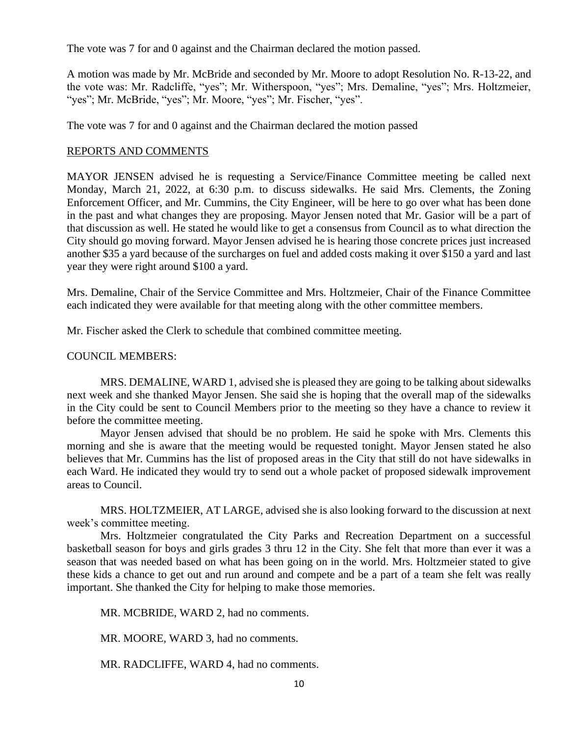The vote was 7 for and 0 against and the Chairman declared the motion passed.

A motion was made by Mr. McBride and seconded by Mr. Moore to adopt Resolution No. R-13-22, and the vote was: Mr. Radcliffe, "yes"; Mr. Witherspoon, "yes"; Mrs. Demaline, "yes"; Mrs. Holtzmeier, "yes"; Mr. McBride, "yes"; Mr. Moore, "yes"; Mr. Fischer, "yes".

The vote was 7 for and 0 against and the Chairman declared the motion passed

### REPORTS AND COMMENTS

MAYOR JENSEN advised he is requesting a Service/Finance Committee meeting be called next Monday, March 21, 2022, at 6:30 p.m. to discuss sidewalks. He said Mrs. Clements, the Zoning Enforcement Officer, and Mr. Cummins, the City Engineer, will be here to go over what has been done in the past and what changes they are proposing. Mayor Jensen noted that Mr. Gasior will be a part of that discussion as well. He stated he would like to get a consensus from Council as to what direction the City should go moving forward. Mayor Jensen advised he is hearing those concrete prices just increased another \$35 a yard because of the surcharges on fuel and added costs making it over \$150 a yard and last year they were right around \$100 a yard.

Mrs. Demaline, Chair of the Service Committee and Mrs. Holtzmeier, Chair of the Finance Committee each indicated they were available for that meeting along with the other committee members.

Mr. Fischer asked the Clerk to schedule that combined committee meeting.

#### COUNCIL MEMBERS:

MRS. DEMALINE, WARD 1, advised she is pleased they are going to be talking about sidewalks next week and she thanked Mayor Jensen. She said she is hoping that the overall map of the sidewalks in the City could be sent to Council Members prior to the meeting so they have a chance to review it before the committee meeting.

Mayor Jensen advised that should be no problem. He said he spoke with Mrs. Clements this morning and she is aware that the meeting would be requested tonight. Mayor Jensen stated he also believes that Mr. Cummins has the list of proposed areas in the City that still do not have sidewalks in each Ward. He indicated they would try to send out a whole packet of proposed sidewalk improvement areas to Council.

MRS. HOLTZMEIER, AT LARGE, advised she is also looking forward to the discussion at next week's committee meeting.

Mrs. Holtzmeier congratulated the City Parks and Recreation Department on a successful basketball season for boys and girls grades 3 thru 12 in the City. She felt that more than ever it was a season that was needed based on what has been going on in the world. Mrs. Holtzmeier stated to give these kids a chance to get out and run around and compete and be a part of a team she felt was really important. She thanked the City for helping to make those memories.

MR. MCBRIDE, WARD 2, had no comments.

MR. MOORE, WARD 3, had no comments.

MR. RADCLIFFE, WARD 4, had no comments.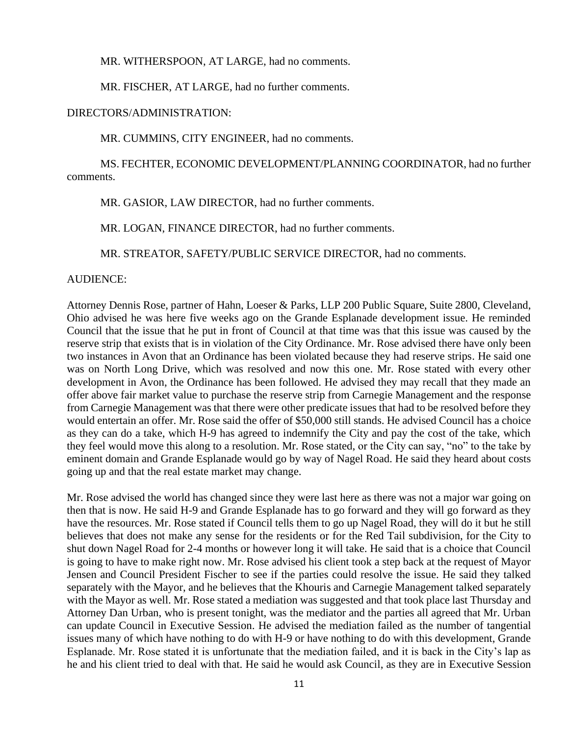MR. WITHERSPOON, AT LARGE, had no comments.

MR. FISCHER, AT LARGE, had no further comments.

#### DIRECTORS/ADMINISTRATION:

MR. CUMMINS, CITY ENGINEER, had no comments.

MS. FECHTER, ECONOMIC DEVELOPMENT/PLANNING COORDINATOR, had no further comments.

MR. GASIOR, LAW DIRECTOR, had no further comments.

MR. LOGAN, FINANCE DIRECTOR, had no further comments.

MR. STREATOR, SAFETY/PUBLIC SERVICE DIRECTOR, had no comments.

#### AUDIENCE:

Attorney Dennis Rose, partner of Hahn, Loeser & Parks, LLP 200 Public Square, Suite 2800, Cleveland, Ohio advised he was here five weeks ago on the Grande Esplanade development issue. He reminded Council that the issue that he put in front of Council at that time was that this issue was caused by the reserve strip that exists that is in violation of the City Ordinance. Mr. Rose advised there have only been two instances in Avon that an Ordinance has been violated because they had reserve strips. He said one was on North Long Drive, which was resolved and now this one. Mr. Rose stated with every other development in Avon, the Ordinance has been followed. He advised they may recall that they made an offer above fair market value to purchase the reserve strip from Carnegie Management and the response from Carnegie Management was that there were other predicate issues that had to be resolved before they would entertain an offer. Mr. Rose said the offer of \$50,000 still stands. He advised Council has a choice as they can do a take, which H-9 has agreed to indemnify the City and pay the cost of the take, which they feel would move this along to a resolution. Mr. Rose stated, or the City can say, "no" to the take by eminent domain and Grande Esplanade would go by way of Nagel Road. He said they heard about costs going up and that the real estate market may change.

Mr. Rose advised the world has changed since they were last here as there was not a major war going on then that is now. He said H-9 and Grande Esplanade has to go forward and they will go forward as they have the resources. Mr. Rose stated if Council tells them to go up Nagel Road, they will do it but he still believes that does not make any sense for the residents or for the Red Tail subdivision, for the City to shut down Nagel Road for 2-4 months or however long it will take. He said that is a choice that Council is going to have to make right now. Mr. Rose advised his client took a step back at the request of Mayor Jensen and Council President Fischer to see if the parties could resolve the issue. He said they talked separately with the Mayor, and he believes that the Khouris and Carnegie Management talked separately with the Mayor as well. Mr. Rose stated a mediation was suggested and that took place last Thursday and Attorney Dan Urban, who is present tonight, was the mediator and the parties all agreed that Mr. Urban can update Council in Executive Session. He advised the mediation failed as the number of tangential issues many of which have nothing to do with H-9 or have nothing to do with this development, Grande Esplanade. Mr. Rose stated it is unfortunate that the mediation failed, and it is back in the City's lap as he and his client tried to deal with that. He said he would ask Council, as they are in Executive Session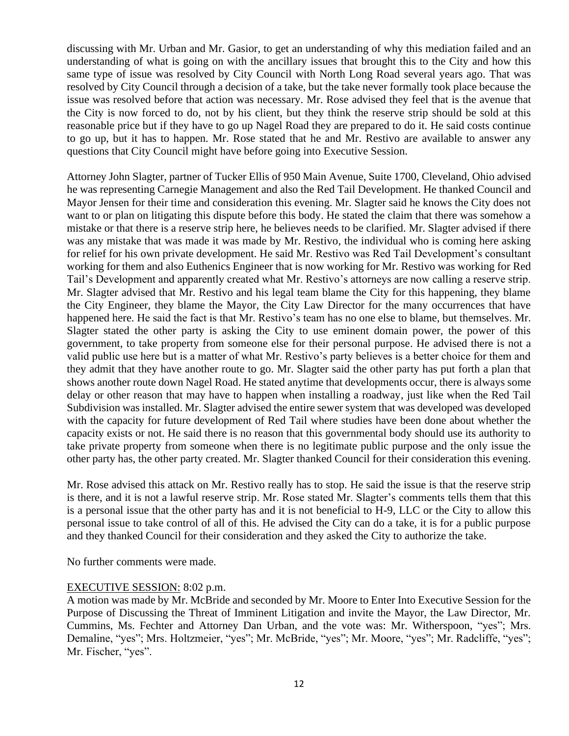discussing with Mr. Urban and Mr. Gasior, to get an understanding of why this mediation failed and an understanding of what is going on with the ancillary issues that brought this to the City and how this same type of issue was resolved by City Council with North Long Road several years ago. That was resolved by City Council through a decision of a take, but the take never formally took place because the issue was resolved before that action was necessary. Mr. Rose advised they feel that is the avenue that the City is now forced to do, not by his client, but they think the reserve strip should be sold at this reasonable price but if they have to go up Nagel Road they are prepared to do it. He said costs continue to go up, but it has to happen. Mr. Rose stated that he and Mr. Restivo are available to answer any questions that City Council might have before going into Executive Session.

Attorney John Slagter, partner of Tucker Ellis of 950 Main Avenue, Suite 1700, Cleveland, Ohio advised he was representing Carnegie Management and also the Red Tail Development. He thanked Council and Mayor Jensen for their time and consideration this evening. Mr. Slagter said he knows the City does not want to or plan on litigating this dispute before this body. He stated the claim that there was somehow a mistake or that there is a reserve strip here, he believes needs to be clarified. Mr. Slagter advised if there was any mistake that was made it was made by Mr. Restivo, the individual who is coming here asking for relief for his own private development. He said Mr. Restivo was Red Tail Development's consultant working for them and also Euthenics Engineer that is now working for Mr. Restivo was working for Red Tail's Development and apparently created what Mr. Restivo's attorneys are now calling a reserve strip. Mr. Slagter advised that Mr. Restivo and his legal team blame the City for this happening, they blame the City Engineer, they blame the Mayor, the City Law Director for the many occurrences that have happened here. He said the fact is that Mr. Restivo's team has no one else to blame, but themselves. Mr. Slagter stated the other party is asking the City to use eminent domain power, the power of this government, to take property from someone else for their personal purpose. He advised there is not a valid public use here but is a matter of what Mr. Restivo's party believes is a better choice for them and they admit that they have another route to go. Mr. Slagter said the other party has put forth a plan that shows another route down Nagel Road. He stated anytime that developments occur, there is always some delay or other reason that may have to happen when installing a roadway, just like when the Red Tail Subdivision was installed. Mr. Slagter advised the entire sewer system that was developed was developed with the capacity for future development of Red Tail where studies have been done about whether the capacity exists or not. He said there is no reason that this governmental body should use its authority to take private property from someone when there is no legitimate public purpose and the only issue the other party has, the other party created. Mr. Slagter thanked Council for their consideration this evening.

Mr. Rose advised this attack on Mr. Restivo really has to stop. He said the issue is that the reserve strip is there, and it is not a lawful reserve strip. Mr. Rose stated Mr. Slagter's comments tells them that this is a personal issue that the other party has and it is not beneficial to H-9, LLC or the City to allow this personal issue to take control of all of this. He advised the City can do a take, it is for a public purpose and they thanked Council for their consideration and they asked the City to authorize the take.

No further comments were made.

#### EXECUTIVE SESSION: 8:02 p.m.

A motion was made by Mr. McBride and seconded by Mr. Moore to Enter Into Executive Session for the Purpose of Discussing the Threat of Imminent Litigation and invite the Mayor, the Law Director, Mr. Cummins, Ms. Fechter and Attorney Dan Urban, and the vote was: Mr. Witherspoon, "yes"; Mrs. Demaline, "yes"; Mrs. Holtzmeier, "yes"; Mr. McBride, "yes"; Mr. Moore, "yes"; Mr. Radcliffe, "yes"; Mr. Fischer, "yes".